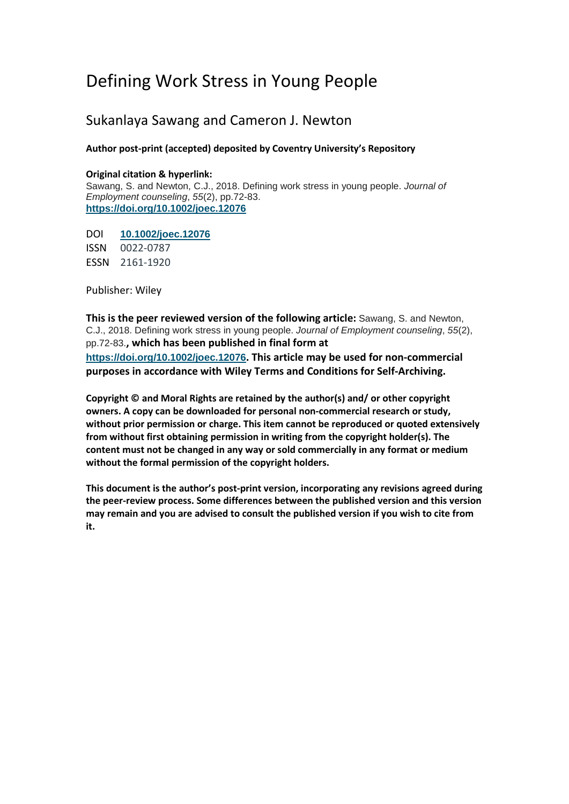# Defining Work Stress in Young People

## Sukanlaya Sawang and Cameron J. Newton

## **Author post-print (accepted) deposited by Coventry University's Repository**

## **Original citation & hyperlink:**

Sawang, S. and Newton, C.J., 2018. Defining work stress in young people. *Journal of Employment counseling*, *55*(2), pp.72-83. **<https://doi.org/10.1002/joec.12076>**

DOI **[10.1002/joec.12076](https://doi.org/10.1002/joec.12076)** ISSN 0022-0787 ESSN 2161-1920

Publisher: Wiley

**This is the peer reviewed version of the following article:** Sawang, S. and Newton, C.J., 2018. Defining work stress in young people. *Journal of Employment counseling*, *55*(2), pp.72-83.**, which has been published in final form at <https://doi.org/10.1002/joec.12076>. This article may be used for non-commercial purposes in accordance with Wiley Terms and Conditions for Self-Archiving.**

**Copyright © and Moral Rights are retained by the author(s) and/ or other copyright owners. A copy can be downloaded for personal non-commercial research or study, without prior permission or charge. This item cannot be reproduced or quoted extensively from without first obtaining permission in writing from the copyright holder(s). The content must not be changed in any way or sold commercially in any format or medium without the formal permission of the copyright holders.** 

**This document is the author's post-print version, incorporating any revisions agreed during the peer-review process. Some differences between the published version and this version may remain and you are advised to consult the published version if you wish to cite from it.**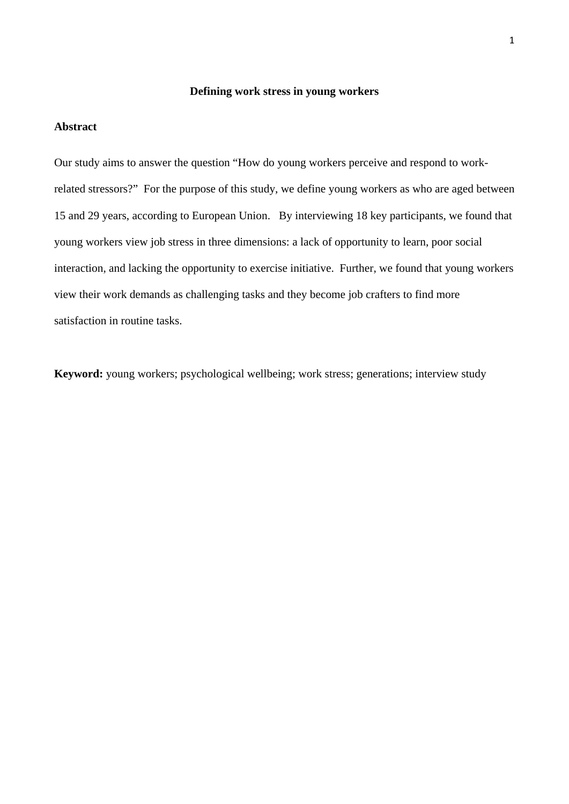## **Defining work stress in young workers**

## **Abstract**

Our study aims to answer the question "How do young workers perceive and respond to workrelated stressors?" For the purpose of this study, we define young workers as who are aged between 15 and 29 years, according to European Union. By interviewing 18 key participants, we found that young workers view job stress in three dimensions: a lack of opportunity to learn, poor social interaction, and lacking the opportunity to exercise initiative. Further, we found that young workers view their work demands as challenging tasks and they become job crafters to find more satisfaction in routine tasks.

**Keyword:** young workers; psychological wellbeing; work stress; generations; interview study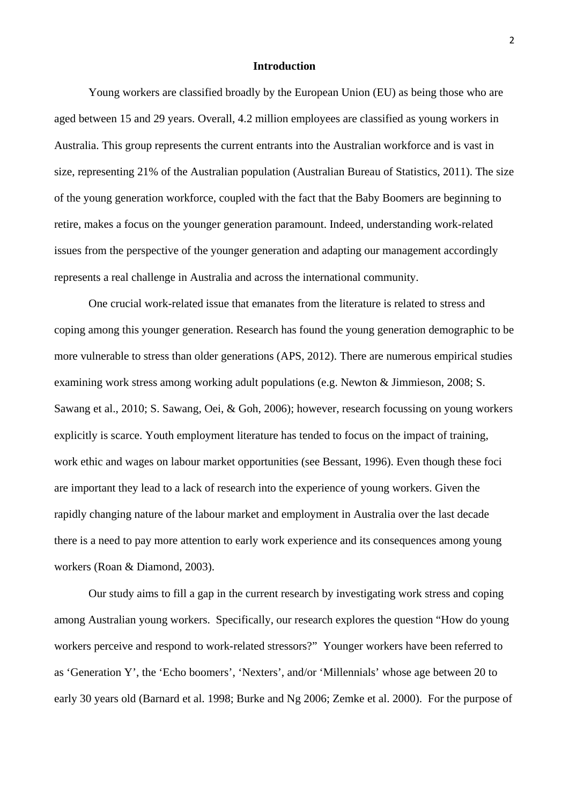#### **Introduction**

Young workers are classified broadly by the European Union (EU) as being those who are aged between 15 and 29 years. Overall, 4.2 million employees are classified as young workers in Australia. This group represents the current entrants into the Australian workforce and is vast in size, representing 21% of the Australian population [\(Australian Bureau of Statistics, 2011\)](#page-13-0). The size of the young generation workforce, coupled with the fact that the Baby Boomers are beginning to retire, makes a focus on the younger generation paramount. Indeed, understanding work-related issues from the perspective of the younger generation and adapting our management accordingly represents a real challenge in Australia and across the international community.

One crucial work-related issue that emanates from the literature is related to stress and coping among this younger generation. Research has found the young generation demographic to be more vulnerable to stress than older generations [\(APS, 2012\)](#page-13-1). There are numerous empirical studies examining work stress among working adult populations (e.g. [Newton & Jimmieson, 2008;](#page-17-0) [S.](#page-19-0)  [Sawang et al., 2010;](#page-19-0) [S. Sawang, Oei, & Goh, 2006\)](#page-19-1); however, research focussing on young workers explicitly is scarce. Youth employment literature has tended to focus on the impact of training, work ethic and wages on labour market opportunities [\(see Bessant, 1996\)](#page-14-0). Even though these foci are important they lead to a lack of research into the experience of young workers. Given the rapidly changing nature of the labour market and employment in Australia over the last decade there is a need to pay more attention to early work experience and its consequences among young workers [\(Roan & Diamond, 2003\)](#page-18-0).

Our study aims to fill a gap in the current research by investigating work stress and coping among Australian young workers. Specifically, our research explores the question "How do young workers perceive and respond to work-related stressors?" Younger workers have been referred to as 'Generation Y', the 'Echo boomers', 'Nexters', and/or 'Millennials' whose age between 20 to early 30 years old (Barnard et al. 1998; Burke and Ng 2006; Zemke et al. 2000). For the purpose of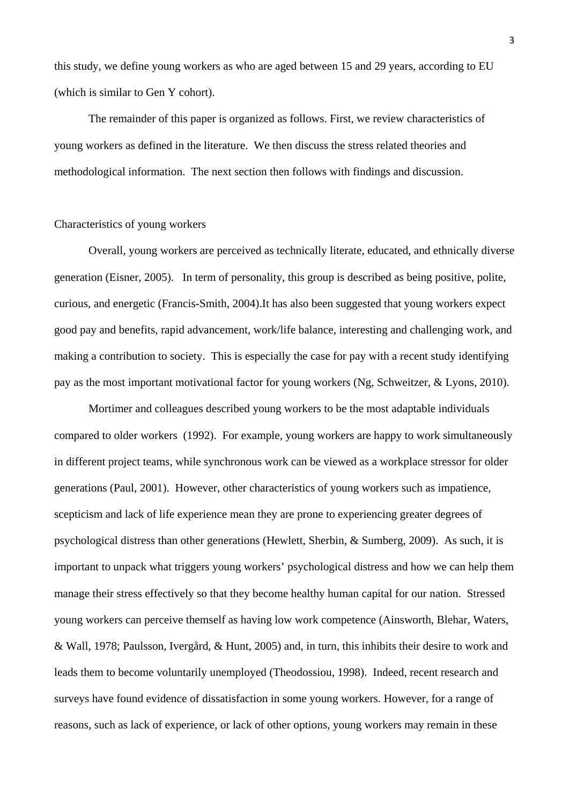this study, we define young workers as who are aged between 15 and 29 years, according to EU (which is similar to Gen Y cohort).

The remainder of this paper is organized as follows. First, we review characteristics of young workers as defined in the literature. We then discuss the stress related theories and methodological information. The next section then follows with findings and discussion.

## Characteristics of young workers

Overall, young workers are perceived as technically literate, educated, and ethnically diverse generation [\(Eisner, 2005\)](#page-15-0). In term of personality, this group is described as being positive, polite, curious, and energetic [\(Francis-Smith, 2004\)](#page-15-1).It has also been suggested that young workers expect good pay and benefits, rapid advancement, work/life balance, interesting and challenging work, and making a contribution to society. This is especially the case for pay with a recent study identifying pay as the most important motivational factor for young workers [\(Ng, Schweitzer, & Lyons, 2010\)](#page-17-1).

Mortimer and colleagues described young workers to be the most adaptable individuals compared to older workers [\(1992\)](#page-17-2). For example, young workers are happy to work simultaneously in different project teams, while synchronous work can be viewed as a workplace stressor for older generations [\(Paul, 2001\)](#page-18-1). However, other characteristics of young workers such as impatience, scepticism and lack of life experience mean they are prone to experiencing greater degrees of psychological distress than other generations [\(Hewlett, Sherbin, & Sumberg, 2009\)](#page-16-0). As such, it is important to unpack what triggers young workers' psychological distress and how we can help them manage their stress effectively so that they become healthy human capital for our nation. Stressed young workers can perceive themself as having low work competence [\(Ainsworth, Blehar, Waters,](#page-13-2)  [& Wall, 1978;](#page-13-2) [Paulsson, Ivergård, & Hunt, 2005\)](#page-18-2) and, in turn, this inhibits their desire to work and leads them to become voluntarily unemployed [\(Theodossiou, 1998\)](#page-19-2). Indeed, recent research and surveys have found evidence of dissatisfaction in some young workers. However, for a range of reasons, such as lack of experience, or lack of other options, young workers may remain in these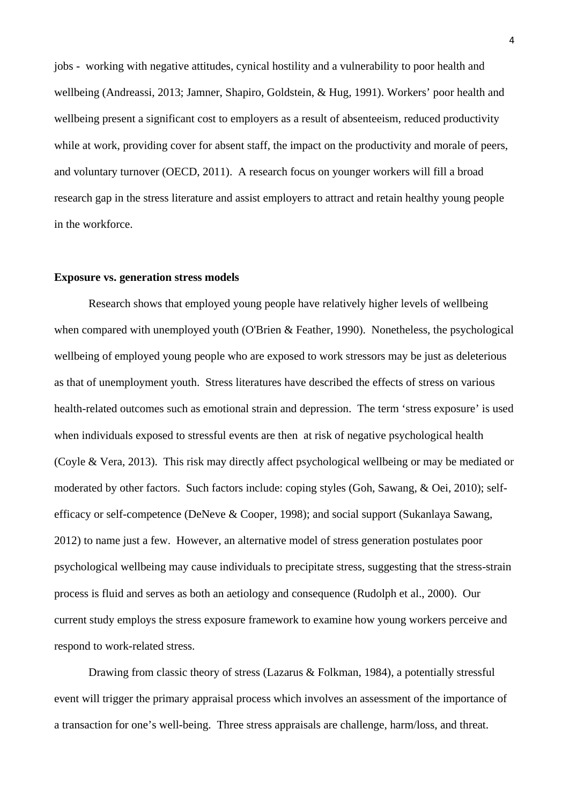jobs - working with negative attitudes, cynical hostility and a vulnerability to poor health and wellbeing [\(Andreassi, 2013;](#page-13-3) [Jamner, Shapiro, Goldstein, & Hug, 1991\)](#page-16-1). Workers' poor health and wellbeing present a significant cost to employers as a result of absenteeism, reduced productivity while at work, providing cover for absent staff, the impact on the productivity and morale of peers, and voluntary turnover [\(OECD, 2011\)](#page-18-3). A research focus on younger workers will fill a broad research gap in the stress literature and assist employers to attract and retain healthy young people in the workforce.

#### **Exposure vs. generation stress models**

Research shows that employed young people have relatively higher levels of wellbeing when compared with unemployed youth [\(O'Brien & Feather, 1990\)](#page-17-3). Nonetheless, the psychological wellbeing of employed young people who are exposed to work stressors may be just as deleterious as that of unemployment youth. Stress literatures have described the effects of stress on various health-related outcomes such as emotional strain and depression. The term 'stress exposure' is used when individuals exposed to stressful events are then at risk of negative psychological health [\(Coyle & Vera, 2013\)](#page-15-2). This risk may directly affect psychological wellbeing or may be mediated or moderated by other factors. Such factors include: coping styles [\(Goh, Sawang, & Oei, 2010\)](#page-16-2); selfefficacy or self-competence [\(DeNeve & Cooper, 1998\)](#page-15-3); and social support [\(Sukanlaya Sawang,](#page-18-4)  [2012\)](#page-18-4) to name just a few. However, an alternative model of stress generation postulates poor psychological wellbeing may cause individuals to precipitate stress, suggesting that the stress-strain process is fluid and serves as both an aetiology and consequence [\(Rudolph et al., 2000\)](#page-18-5). Our current study employs the stress exposure framework to examine how young workers perceive and respond to work-related stress.

Drawing from classic theory of stress (Lazarus & Folkman, 1984), a potentially stressful event will trigger the primary appraisal process which involves an assessment of the importance of a transaction for one's well-being. Three stress appraisals are challenge, harm/loss, and threat.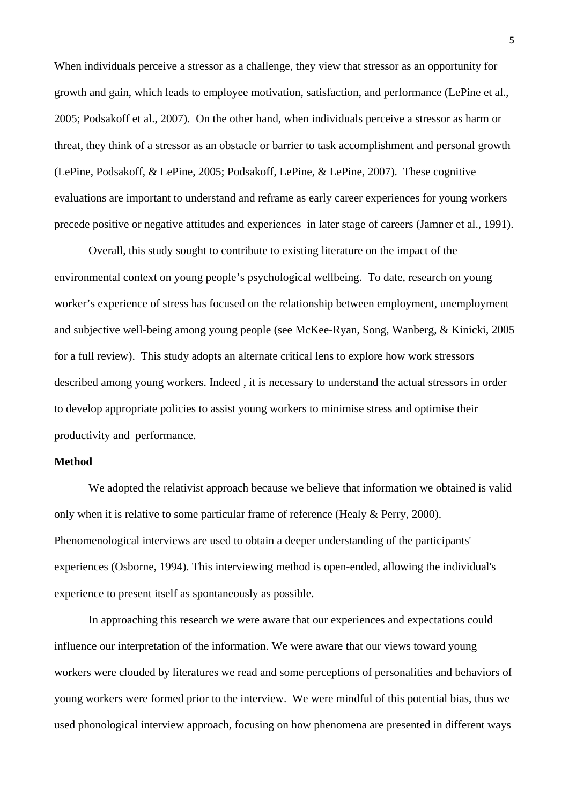When individuals perceive a stressor as a challenge, they view that stressor as an opportunity for growth and gain, which leads to employee motivation, satisfaction, and performance (LePine et al., 2005; Podsakoff et al., 2007). On the other hand, when individuals perceive a stressor as harm or threat, they think of a stressor as an obstacle or barrier to task accomplishment and personal growth (LePine, Podsakoff, & LePine, 2005; Podsakoff, LePine, & LePine, 2007). These cognitive evaluations are important to understand and reframe as early career experiences for young workers precede positive or negative attitudes and experiences in later stage of careers [\(Jamner et al., 1991\)](#page-16-1).

Overall, this study sought to contribute to existing literature on the impact of the environmental context on young people's psychological wellbeing. To date, research on young worker's experience of stress has focused on the relationship between employment, unemployment and subjective well-being among young people [\(see McKee-Ryan, Song, Wanberg, & Kinicki, 2005](#page-17-4)  [for a full review\)](#page-17-4). This study adopts an alternate critical lens to explore how work stressors described among young workers. Indeed , it is necessary to understand the actual stressors in order to develop appropriate policies to assist young workers to minimise stress and optimise their productivity and performance.

## **Method**

We adopted the relativist approach because we believe that information we obtained is valid only when it is relative to some particular frame of reference [\(Healy & Perry, 2000\)](#page-16-3). Phenomenological interviews are used to obtain a deeper understanding of the participants' experiences [\(Osborne, 1994\)](#page-18-6). This interviewing method is open-ended, allowing the individual's experience to present itself as spontaneously as possible.

In approaching this research we were aware that our experiences and expectations could influence our interpretation of the information. We were aware that our views toward young workers were clouded by literatures we read and some perceptions of personalities and behaviors of young workers were formed prior to the interview. We were mindful of this potential bias, thus we used phonological interview approach, focusing on how phenomena are presented in different ways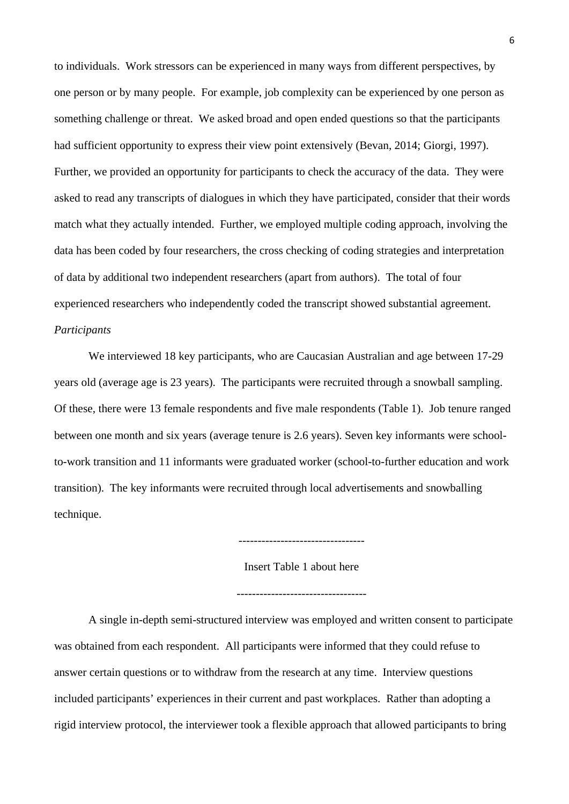to individuals. Work stressors can be experienced in many ways from different perspectives, by one person or by many people. For example, job complexity can be experienced by one person as something challenge or threat. We asked broad and open ended questions so that the participants had sufficient opportunity to express their view point extensively [\(Bevan, 2014;](#page-14-1) [Giorgi, 1997\)](#page-15-4). Further, we provided an opportunity for participants to check the accuracy of the data. They were asked to read any transcripts of dialogues in which they have participated, consider that their words match what they actually intended. Further, we employed multiple coding approach, involving the data has been coded by four researchers, the cross checking of coding strategies and interpretation of data by additional two independent researchers (apart from authors). The total of four experienced researchers who independently coded the transcript showed substantial agreement.

## *Participants*

We interviewed 18 key participants, who are Caucasian Australian and age between 17-29 years old (average age is 23 years). The participants were recruited through a snowball sampling. Of these, there were 13 female respondents and five male respondents (Table 1). Job tenure ranged between one month and six years (average tenure is 2.6 years). Seven key informants were schoolto-work transition and 11 informants were graduated worker (school-to-further education and work transition). The key informants were recruited through local advertisements and snowballing technique.

---------------------------------

Insert Table 1 about here

----------------------------------

A single in-depth semi-structured interview was employed and written consent to participate was obtained from each respondent. All participants were informed that they could refuse to answer certain questions or to withdraw from the research at any time. Interview questions included participants' experiences in their current and past workplaces. Rather than adopting a rigid interview protocol, the interviewer took a flexible approach that allowed participants to bring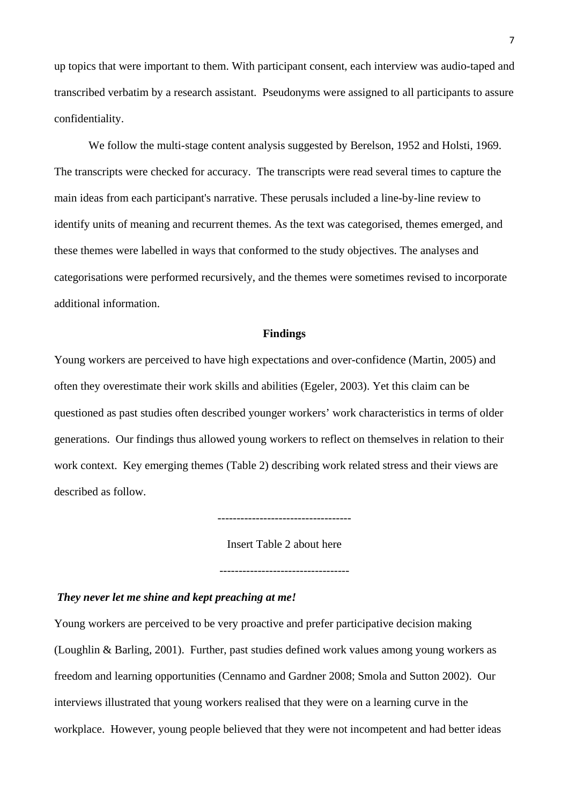up topics that were important to them. With participant consent, each interview was audio-taped and transcribed verbatim by a research assistant. Pseudonyms were assigned to all participants to assure confidentiality.

We follow the multi-stage content analysis suggested by Berelson, 1952 and Holsti, 1969. The transcripts were checked for accuracy. The transcripts were read several times to capture the main ideas from each participant's narrative. These perusals included a line-by-line review to identify units of meaning and recurrent themes. As the text was categorised, themes emerged, and these themes were labelled in ways that conformed to the study objectives. The analyses and categorisations were performed recursively, and the themes were sometimes revised to incorporate additional information.

## **Findings**

Young workers are perceived to have high expectations and over-confidence [\(Martin, 2005\)](#page-17-5) and often they overestimate their work skills and abilities [\(Egeler, 2003\)](#page-15-5). Yet this claim can be questioned as past studies often described younger workers' work characteristics in terms of older generations. Our findings thus allowed young workers to reflect on themselves in relation to their work context. Key emerging themes (Table 2) describing work related stress and their views are described as follow.

-----------------------------------

Insert Table 2 about here

## *They never let me shine and kept preaching at me!*

Young workers are perceived to be very proactive and prefer participative decision making [\(Loughlin & Barling, 2001\)](#page-17-6). Further, past studies defined work values among young workers as freedom and learning opportunities (Cennamo and Gardner 2008; Smola and Sutton 2002). Our interviews illustrated that young workers realised that they were on a learning curve in the workplace. However, young people believed that they were not incompetent and had better ideas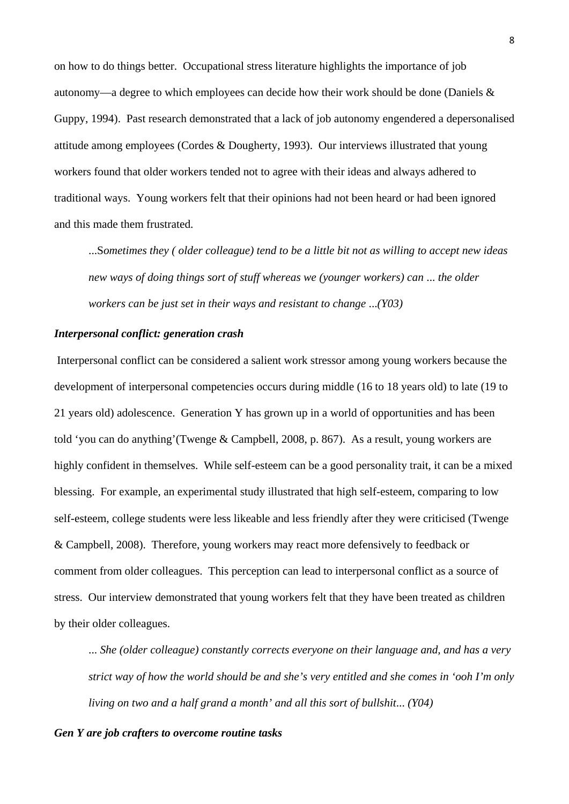on how to do things better. Occupational stress literature highlights the importance of job autonomy—a degree to which employees can decide how their work should be done [\(Daniels &](#page-15-6)  [Guppy, 1994\)](#page-15-6). Past research demonstrated that a lack of job autonomy engendered a depersonalised attitude among employees [\(Cordes & Dougherty, 1993\)](#page-14-2). Our interviews illustrated that young workers found that older workers tended not to agree with their ideas and always adhered to traditional ways. Young workers felt that their opinions had not been heard or had been ignored and this made them frustrated.

...S*ometimes they ( older colleague) tend to be a little bit not as willing to accept new ideas new ways of doing things sort of stuff whereas we (younger workers) can* ... *the older workers can be just set in their ways and resistant to change* ...*(Y03)*

#### *Interpersonal conflict: generation crash*

Interpersonal conflict can be considered a salient work stressor among young workers because the development of interpersonal competencies occurs during middle (16 to 18 years old) to late (19 to 21 years old) adolescence. Generation Y has grown up in a world of opportunities and has been told 'you can do anything'[\(Twenge & Campbell, 2008, p. 867\)](#page-19-3). As a result, young workers are highly confident in themselves. While self-esteem can be a good personality trait, it can be a mixed blessing. For example, an experimental study illustrated that high self-esteem, comparing to low self-esteem, college students were less likeable and less friendly after they were criticised [\(Twenge](#page-19-3)  [& Campbell, 2008\)](#page-19-3). Therefore, young workers may react more defensively to feedback or comment from older colleagues. This perception can lead to interpersonal conflict as a source of stress. Our interview demonstrated that young workers felt that they have been treated as children by their older colleagues.

... *She (older colleague) constantly corrects everyone on their language and, and has a very strict way of how the world should be and she's very entitled and she comes in 'ooh I'm only living on two and a half grand a month' and all this sort of bullshit*... *(Y04)*

## *Gen Y are job crafters to overcome routine tasks*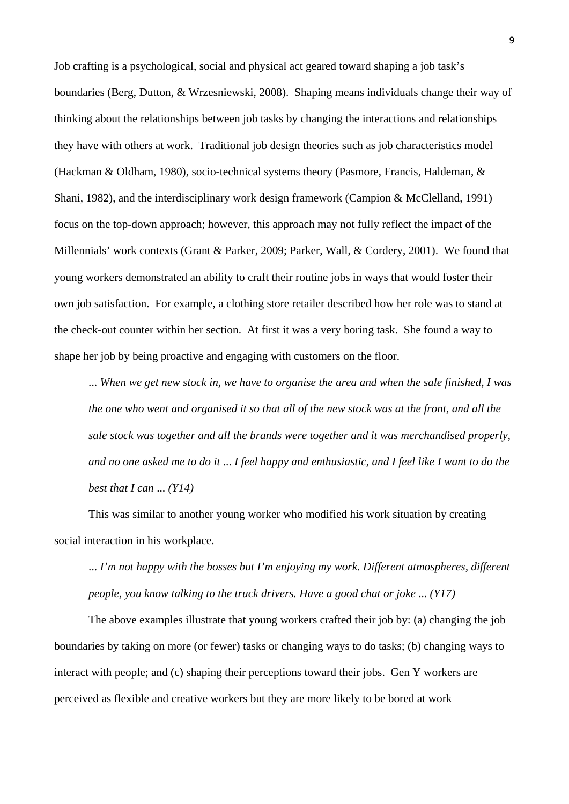Job crafting is a psychological, social and physical act geared toward shaping a job task's boundaries [\(Berg, Dutton, & Wrzesniewski, 2008\)](#page-14-3). Shaping means individuals change their way of thinking about the relationships between job tasks by changing the interactions and relationships they have with others at work. Traditional job design theories such as job characteristics model [\(Hackman & Oldham, 1980\)](#page-16-4), socio-technical systems theory [\(Pasmore, Francis, Haldeman, &](#page-18-7)  [Shani, 1982\)](#page-18-7), and the interdisciplinary work design framework [\(Campion & McClelland, 1991\)](#page-14-4) focus on the top-down approach; however, this approach may not fully reflect the impact of the Millennials' work contexts [\(Grant & Parker, 2009;](#page-16-5) [Parker, Wall, & Cordery, 2001\)](#page-18-8). We found that young workers demonstrated an ability to craft their routine jobs in ways that would foster their own job satisfaction. For example, a clothing store retailer described how her role was to stand at the check-out counter within her section. At first it was a very boring task. She found a way to shape her job by being proactive and engaging with customers on the floor.

... *When we get new stock in, we have to organise the area and when the sale finished, I was the one who went and organised it so that all of the new stock was at the front, and all the sale stock was together and all the brands were together and it was merchandised properly, and no one asked me to do it* ... *I feel happy and enthusiastic, and I feel like I want to do the best that I can* ... *(Y14)*

This was similar to another young worker who modified his work situation by creating social interaction in his workplace.

... *I'm not happy with the bosses but I'm enjoying my work. Different atmospheres, different people, you know talking to the truck drivers. Have a good chat or joke* ... *(Y17)*

The above examples illustrate that young workers crafted their job by: (a) changing the job boundaries by taking on more (or fewer) tasks or changing ways to do tasks; (b) changing ways to interact with people; and (c) shaping their perceptions toward their jobs. Gen Y workers are perceived as flexible and creative workers but they are more likely to be bored at work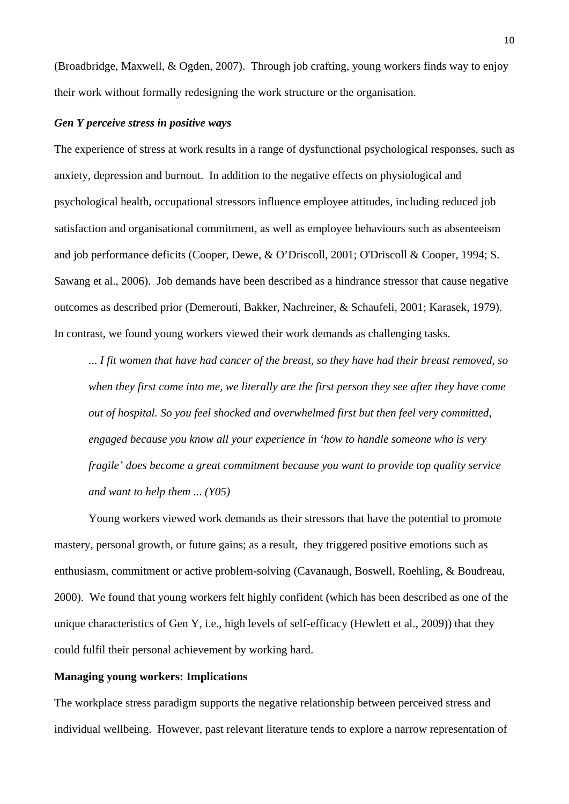[\(Broadbridge, Maxwell, & Ogden,](#page-14-5) 2007). Through job crafting, young workers finds way to enjoy their work without formally redesigning the work structure or the organisation.

## *Gen Y perceive stress in positive ways*

The experience of stress at work results in a range of dysfunctional psychological responses, such as anxiety, depression and burnout. In addition to the negative effects on physiological and psychological health, occupational stressors influence employee attitudes, including reduced job satisfaction and organisational commitment, as well as employee behaviours such as absenteeism and job performance deficits [\(Cooper, Dewe, & O'Driscoll, 2001;](#page-14-6) [O'Driscoll & Cooper, 1994;](#page-18-9) [S.](#page-19-1)  [Sawang et al., 2006\)](#page-19-1). Job demands have been described as a hindrance stressor that cause negative outcomes as described prior [\(Demerouti, Bakker, Nachreiner, & Schaufeli, 2001;](#page-15-7) [Karasek, 1979\)](#page-16-6). In contrast, we found young workers viewed their work demands as challenging tasks.

... *I fit women that have had cancer of the breast, so they have had their breast removed, so when they first come into me, we literally are the first person they see after they have come out of hospital. So you feel shocked and overwhelmed first but then feel very committed, engaged because you know all your experience in 'how to handle someone who is very fragile' does become a great commitment because you want to provide top quality service and want to help them* ... *(Y05)*

Young workers viewed work demands as their stressors that have the potential to promote mastery, personal growth, or future gains; as a result, they triggered positive emotions such as enthusiasm, commitment or active problem-solving [\(Cavanaugh, Boswell, Roehling, & Boudreau,](#page-14-7)  [2000\)](#page-14-7). We found that young workers felt highly confident (which has been described as one of the unique characteristics of Gen Y, i.e., high levels of self-efficacy [\(Hewlett et al., 2009\)](#page-16-0)) that they could fulfil their personal achievement by working hard.

## **Managing young workers: Implications**

The workplace stress paradigm supports the negative relationship between perceived stress and individual wellbeing. However, past relevant literature tends to explore a narrow representation of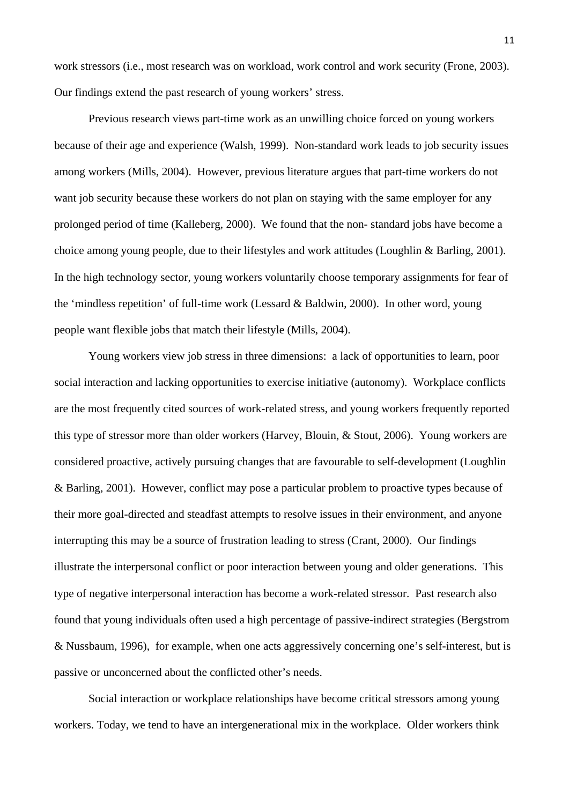work stressors (i.e., most research was on workload, work control and work security [\(Frone, 2003\)](#page-15-8). Our findings extend the past research of young workers' stress.

Previous research views part-time work as an unwilling choice forced on young workers because of their age and experience [\(Walsh, 1999\)](#page-19-4). Non-standard work leads to job security issues among workers [\(Mills, 2004\)](#page-17-7). However, previous literature argues that part-time workers do not want job security because these workers do not plan on staying with the same employer for any prolonged period of time [\(Kalleberg, 2000\)](#page-16-7). We found that the non- standard jobs have become a choice among young people, due to their lifestyles and work attitudes [\(Loughlin & Barling, 2001\)](#page-17-6). In the high technology sector, young workers voluntarily choose temporary assignments for fear of the 'mindless repetition' of full-time work [\(Lessard & Baldwin, 2000\)](#page-16-8). In other word, young people want flexible jobs that match their lifestyle [\(Mills, 2004\)](#page-17-7).

Young workers view job stress in three dimensions: a lack of opportunities to learn, poor social interaction and lacking opportunities to exercise initiative (autonomy). Workplace conflicts are the most frequently cited sources of work-related stress, and young workers frequently reported this type of stressor more than older workers [\(Harvey, Blouin, & Stout, 2006\)](#page-16-9). Young workers are considered proactive, actively pursuing changes that are favourable to self-development [\(Loughlin](#page-17-6)  [& Barling, 2001\)](#page-17-6). However, conflict may pose a particular problem to proactive types because of their more goal-directed and steadfast attempts to resolve issues in their environment, and anyone interrupting this may be a source of frustration leading to stress [\(Crant, 2000\)](#page-15-9). Our findings illustrate the interpersonal conflict or poor interaction between young and older generations. This type of negative interpersonal interaction has become a work-related stressor. Past research also found that young individuals often used a high percentage of passive-indirect strategies [\(Bergstrom](#page-14-8)  [& Nussbaum, 1996\)](#page-14-8), for example, when one acts aggressively concerning one's self-interest, but is passive or unconcerned about the conflicted other's needs.

Social interaction or workplace relationships have become critical stressors among young workers. Today, we tend to have an intergenerational mix in the workplace. Older workers think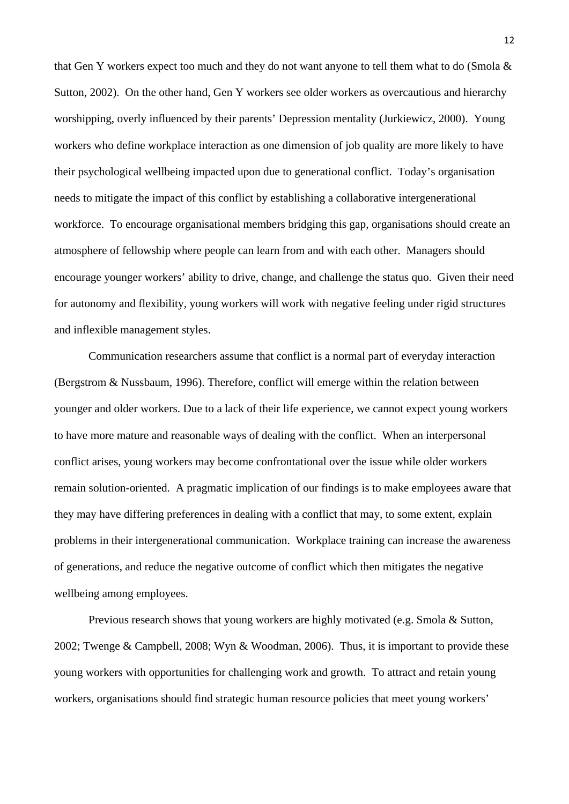that Gen Y workers expect too much and they do not want anyone to tell them what to do [\(Smola &](#page-19-5)  [Sutton, 2002\)](#page-19-5). On the other hand, Gen Y workers see older workers as overcautious and hierarchy worshipping, overly influenced by their parents' Depression mentality [\(Jurkiewicz, 2000\)](#page-16-10). Young workers who define workplace interaction as one dimension of job quality are more likely to have their psychological wellbeing impacted upon due to generational conflict. Today's organisation needs to mitigate the impact of this conflict by establishing a collaborative intergenerational workforce. To encourage organisational members bridging this gap, organisations should create an atmosphere of fellowship where people can learn from and with each other. Managers should encourage younger workers' ability to drive, change, and challenge the status quo. Given their need for autonomy and flexibility, young workers will work with negative feeling under rigid structures and inflexible management styles.

Communication researchers assume that conflict is a normal part of everyday interaction [\(Bergstrom & Nussbaum, 1996\)](#page-14-8). Therefore, conflict will emerge within the relation between younger and older workers. Due to a lack of their life experience, we cannot expect young workers to have more mature and reasonable ways of dealing with the conflict. When an interpersonal conflict arises, young workers may become confrontational over the issue while older workers remain solution-oriented. A pragmatic implication of our findings is to make employees aware that they may have differing preferences in dealing with a conflict that may, to some extent, explain problems in their intergenerational communication. Workplace training can increase the awareness of generations, and reduce the negative outcome of conflict which then mitigates the negative wellbeing among employees.

Previous research shows that young workers are highly motivated (e.g. [Smola & Sutton,](#page-19-5)  [2002;](#page-19-5) [Twenge & Campbell, 2008;](#page-19-3) [Wyn & Woodman, 2006\)](#page-19-6). Thus, it is important to provide these young workers with opportunities for challenging work and growth. To attract and retain young workers, organisations should find strategic human resource policies that meet young workers'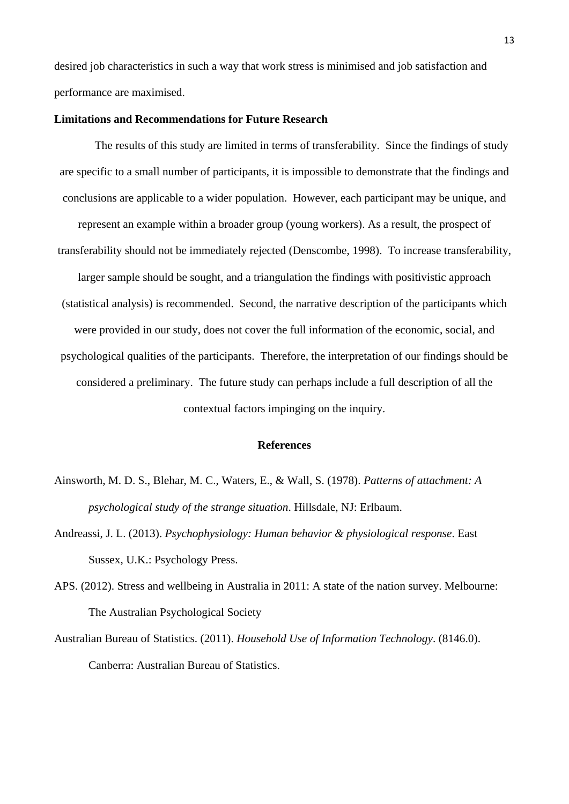desired job characteristics in such a way that work stress is minimised and job satisfaction and performance are maximised.

## **Limitations and Recommendations for Future Research**

The results of this study are limited in terms of transferability. Since the findings of study are specific to a small number of participants, it is impossible to demonstrate that the findings and conclusions are applicable to a wider population. However, each participant may be unique, and represent an example within a broader group (young workers). As a result, the prospect of transferability should not be immediately rejected [\(Denscombe, 1998\)](#page-15-10). To increase transferability, larger sample should be sought, and a triangulation the findings with positivistic approach (statistical analysis) is recommended. Second, the narrative description of the participants which were provided in our study, does not cover the full information of the economic, social, and psychological qualities of the participants. Therefore, the interpretation of our findings should be considered a preliminary. The future study can perhaps include a full description of all the contextual factors impinging on the inquiry.

#### **References**

- <span id="page-13-2"></span>Ainsworth, M. D. S., Blehar, M. C., Waters, E., & Wall, S. (1978). *Patterns of attachment: A psychological study of the strange situation*. Hillsdale, NJ: Erlbaum.
- <span id="page-13-3"></span>Andreassi, J. L. (2013). *Psychophysiology: Human behavior & physiological response*. East Sussex, U.K.: Psychology Press.
- <span id="page-13-1"></span>APS. (2012). Stress and wellbeing in Australia in 2011: A state of the nation survey. Melbourne: The Australian Psychological Society
- <span id="page-13-0"></span>Australian Bureau of Statistics. (2011). *Household Use of Information Technology*. (8146.0). Canberra: Australian Bureau of Statistics.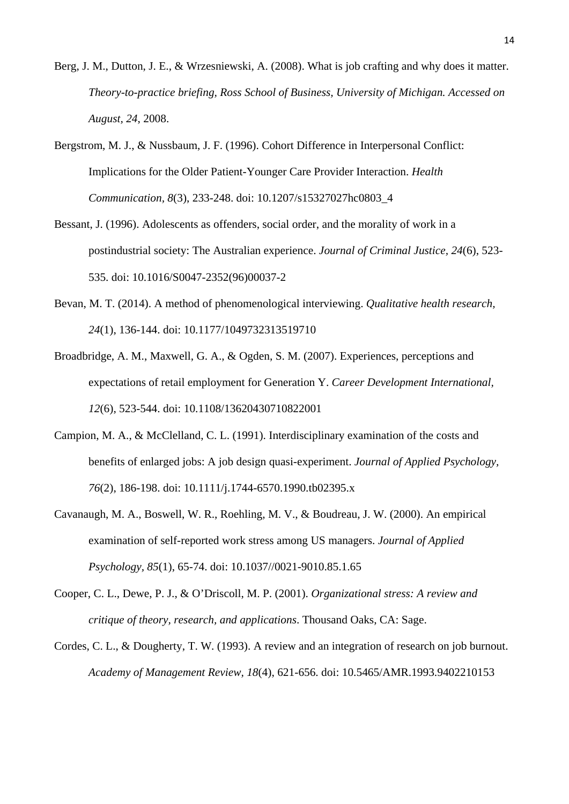- <span id="page-14-3"></span>Berg, J. M., Dutton, J. E., & Wrzesniewski, A. (2008). What is job crafting and why does it matter. *Theory-to-practice briefing, Ross School of Business, University of Michigan. Accessed on August, 24*, 2008.
- <span id="page-14-8"></span>Bergstrom, M. J., & Nussbaum, J. F. (1996). Cohort Difference in Interpersonal Conflict: Implications for the Older Patient-Younger Care Provider Interaction. *Health Communication, 8*(3), 233-248. doi: 10.1207/s15327027hc0803\_4
- <span id="page-14-0"></span>Bessant, J. (1996). Adolescents as offenders, social order, and the morality of work in a postindustrial society: The Australian experience. *Journal of Criminal Justice, 24*(6), 523- 535. doi: 10.1016/S0047-2352(96)00037-2
- <span id="page-14-1"></span>Bevan, M. T. (2014). A method of phenomenological interviewing. *Qualitative health research, 24*(1), 136-144. doi: 10.1177/1049732313519710
- <span id="page-14-5"></span>Broadbridge, A. M., Maxwell, G. A., & Ogden, S. M. (2007). Experiences, perceptions and expectations of retail employment for Generation Y. *Career Development International, 12*(6), 523-544. doi: 10.1108/13620430710822001
- <span id="page-14-4"></span>Campion, M. A., & McClelland, C. L. (1991). Interdisciplinary examination of the costs and benefits of enlarged jobs: A job design quasi-experiment. *Journal of Applied Psychology, 76*(2), 186-198. doi: 10.1111/j.1744-6570.1990.tb02395.x
- <span id="page-14-7"></span>Cavanaugh, M. A., Boswell, W. R., Roehling, M. V., & Boudreau, J. W. (2000). An empirical examination of self-reported work stress among US managers. *Journal of Applied Psychology, 85*(1), 65-74. doi: 10.1037//0021-9010.85.1.65
- <span id="page-14-6"></span>Cooper, C. L., Dewe, P. J., & O'Driscoll, M. P. (2001). *Organizational stress: A review and critique of theory, research, and applications*. Thousand Oaks, CA: Sage.
- <span id="page-14-2"></span>Cordes, C. L., & Dougherty, T. W. (1993). A review and an integration of research on job burnout. *Academy of Management Review, 18*(4), 621-656. doi: 10.5465/AMR.1993.9402210153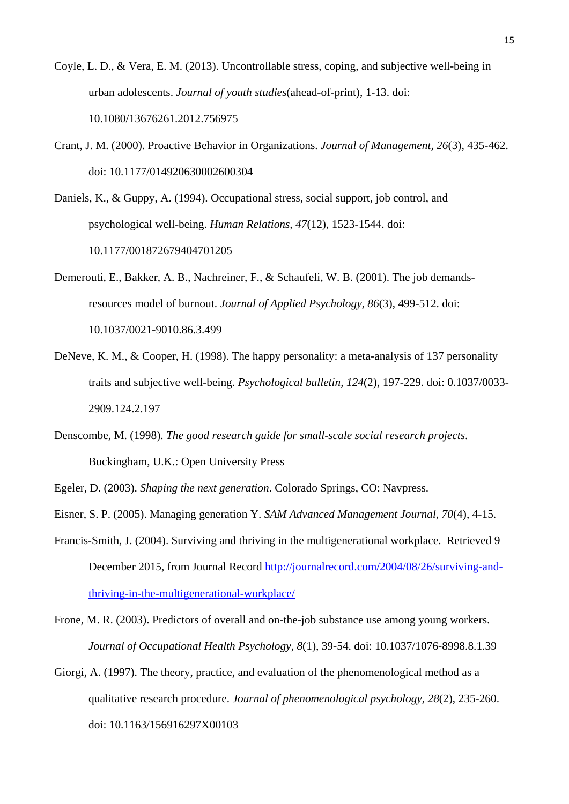- <span id="page-15-2"></span>Coyle, L. D., & Vera, E. M. (2013). Uncontrollable stress, coping, and subjective well-being in urban adolescents. *Journal of youth studies*(ahead-of-print), 1-13. doi: 10.1080/13676261.2012.756975
- <span id="page-15-9"></span>Crant, J. M. (2000). Proactive Behavior in Organizations. *Journal of Management, 26*(3), 435-462. doi: 10.1177/014920630002600304

<span id="page-15-6"></span>Daniels, K., & Guppy, A. (1994). Occupational stress, social support, job control, and psychological well-being. *Human Relations, 47*(12), 1523-1544. doi: 10.1177/001872679404701205

- <span id="page-15-7"></span>Demerouti, E., Bakker, A. B., Nachreiner, F., & Schaufeli, W. B. (2001). The job demandsresources model of burnout. *Journal of Applied Psychology, 86*(3), 499-512. doi: 10.1037/0021-9010.86.3.499
- <span id="page-15-3"></span>DeNeve, K. M., & Cooper, H. (1998). The happy personality: a meta-analysis of 137 personality traits and subjective well-being. *Psychological bulletin, 124*(2), 197-229. doi: 0.1037/0033- 2909.124.2.197
- <span id="page-15-10"></span>Denscombe, M. (1998). *The good research guide for small-scale social research projects*. Buckingham, U.K.: Open University Press
- <span id="page-15-5"></span>Egeler, D. (2003). *Shaping the next generation*. Colorado Springs, CO: Navpress.
- <span id="page-15-0"></span>Eisner, S. P. (2005). Managing generation Y. *SAM Advanced Management Journal, 70*(4), 4-15.
- <span id="page-15-1"></span>Francis-Smith, J. (2004). Surviving and thriving in the multigenerational workplace. Retrieved 9 December 2015, from Journal Record [http://journalrecord.com/2004/08/26/surviving-and](http://journalrecord.com/2004/08/26/surviving-and-thriving-in-the-multigenerational-workplace/)[thriving-in-the-multigenerational-workplace/](http://journalrecord.com/2004/08/26/surviving-and-thriving-in-the-multigenerational-workplace/)
- <span id="page-15-8"></span>Frone, M. R. (2003). Predictors of overall and on-the-job substance use among young workers. *Journal of Occupational Health Psychology, 8*(1), 39-54. doi: 10.1037/1076-8998.8.1.39
- <span id="page-15-4"></span>Giorgi, A. (1997). The theory, practice, and evaluation of the phenomenological method as a qualitative research procedure. *Journal of phenomenological psychology, 28*(2), 235-260. doi: 10.1163/156916297X00103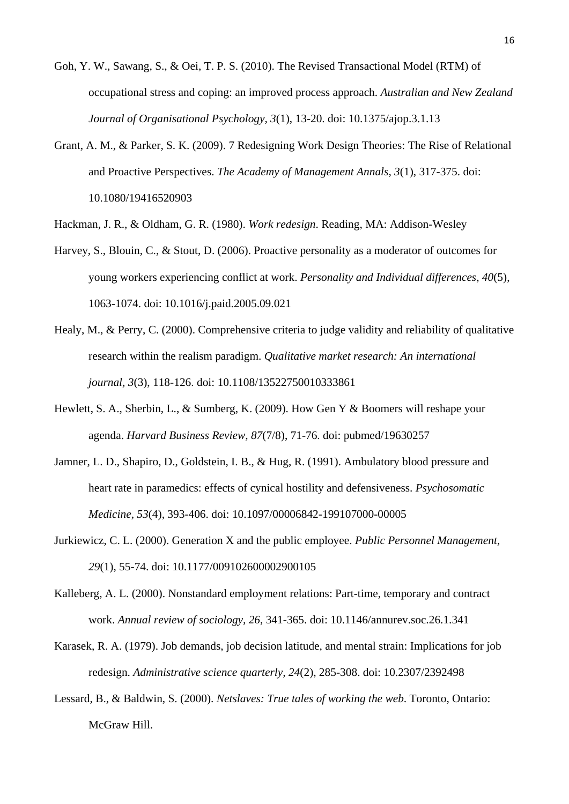- <span id="page-16-2"></span>Goh, Y. W., Sawang, S., & Oei, T. P. S. (2010). The Revised Transactional Model (RTM) of occupational stress and coping: an improved process approach. *Australian and New Zealand Journal of Organisational Psychology, 3*(1), 13-20. doi: 10.1375/ajop.3.1.13
- <span id="page-16-5"></span>Grant, A. M., & Parker, S. K. (2009). 7 Redesigning Work Design Theories: The Rise of Relational and Proactive Perspectives. *The Academy of Management Annals, 3*(1), 317-375. doi: 10.1080/19416520903
- <span id="page-16-4"></span>Hackman, J. R., & Oldham, G. R. (1980). *Work redesign*. Reading, MA: Addison-Wesley
- <span id="page-16-9"></span>Harvey, S., Blouin, C., & Stout, D. (2006). Proactive personality as a moderator of outcomes for young workers experiencing conflict at work. *Personality and Individual differences, 40*(5), 1063-1074. doi: 10.1016/j.paid.2005.09.021
- <span id="page-16-3"></span>Healy, M., & Perry, C. (2000). Comprehensive criteria to judge validity and reliability of qualitative research within the realism paradigm. *Qualitative market research: An international journal, 3*(3), 118-126. doi: 10.1108/13522750010333861
- <span id="page-16-0"></span>Hewlett, S. A., Sherbin, L., & Sumberg, K. (2009). How Gen Y & Boomers will reshape your agenda. *Harvard Business Review, 87*(7/8), 71-76. doi: pubmed/19630257
- <span id="page-16-1"></span>Jamner, L. D., Shapiro, D., Goldstein, I. B., & Hug, R. (1991). Ambulatory blood pressure and heart rate in paramedics: effects of cynical hostility and defensiveness. *Psychosomatic Medicine, 53*(4), 393-406. doi: 10.1097/00006842-199107000-00005
- <span id="page-16-10"></span>Jurkiewicz, C. L. (2000). Generation X and the public employee. *Public Personnel Management, 29*(1), 55-74. doi: 10.1177/009102600002900105
- <span id="page-16-7"></span>Kalleberg, A. L. (2000). Nonstandard employment relations: Part-time, temporary and contract work. *Annual review of sociology, 26*, 341-365. doi: 10.1146/annurev.soc.26.1.341
- <span id="page-16-6"></span>Karasek, R. A. (1979). Job demands, job decision latitude, and mental strain: Implications for job redesign. *Administrative science quarterly, 24*(2), 285-308. doi: 10.2307/2392498
- <span id="page-16-8"></span>Lessard, B., & Baldwin, S. (2000). *Netslaves: True tales of working the web*. Toronto, Ontario: McGraw Hill.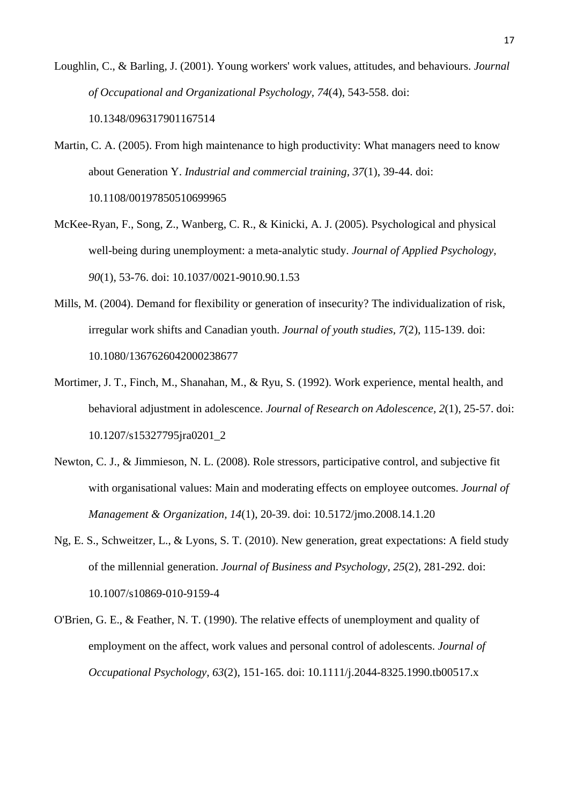- <span id="page-17-6"></span>Loughlin, C., & Barling, J. (2001). Young workers' work values, attitudes, and behaviours. *Journal of Occupational and Organizational Psychology, 74*(4), 543-558. doi: 10.1348/096317901167514
- <span id="page-17-5"></span>Martin, C. A. (2005). From high maintenance to high productivity: What managers need to know about Generation Y. *Industrial and commercial training, 37*(1), 39-44. doi: 10.1108/00197850510699965
- <span id="page-17-4"></span>McKee-Ryan, F., Song, Z., Wanberg, C. R., & Kinicki, A. J. (2005). Psychological and physical well-being during unemployment: a meta-analytic study. *Journal of Applied Psychology, 90*(1), 53-76. doi: 10.1037/0021-9010.90.1.53
- <span id="page-17-7"></span>Mills, M. (2004). Demand for flexibility or generation of insecurity? The individualization of risk, irregular work shifts and Canadian youth. *Journal of youth studies, 7*(2), 115-139. doi: 10.1080/1367626042000238677
- <span id="page-17-2"></span>Mortimer, J. T., Finch, M., Shanahan, M., & Ryu, S. (1992). Work experience, mental health, and behavioral adjustment in adolescence. *Journal of Research on Adolescence, 2*(1), 25-57. doi: 10.1207/s15327795jra0201\_2
- <span id="page-17-0"></span>Newton, C. J., & Jimmieson, N. L. (2008). Role stressors, participative control, and subjective fit with organisational values: Main and moderating effects on employee outcomes. *Journal of Management & Organization, 14*(1), 20-39. doi: 10.5172/jmo.2008.14.1.20
- <span id="page-17-1"></span>Ng, E. S., Schweitzer, L., & Lyons, S. T. (2010). New generation, great expectations: A field study of the millennial generation. *Journal of Business and Psychology, 25*(2), 281-292. doi: 10.1007/s10869-010-9159-4
- <span id="page-17-3"></span>O'Brien, G. E., & Feather, N. T. (1990). The relative effects of unemployment and quality of employment on the affect, work values and personal control of adolescents. *Journal of Occupational Psychology, 63*(2), 151-165. doi: 10.1111/j.2044-8325.1990.tb00517.x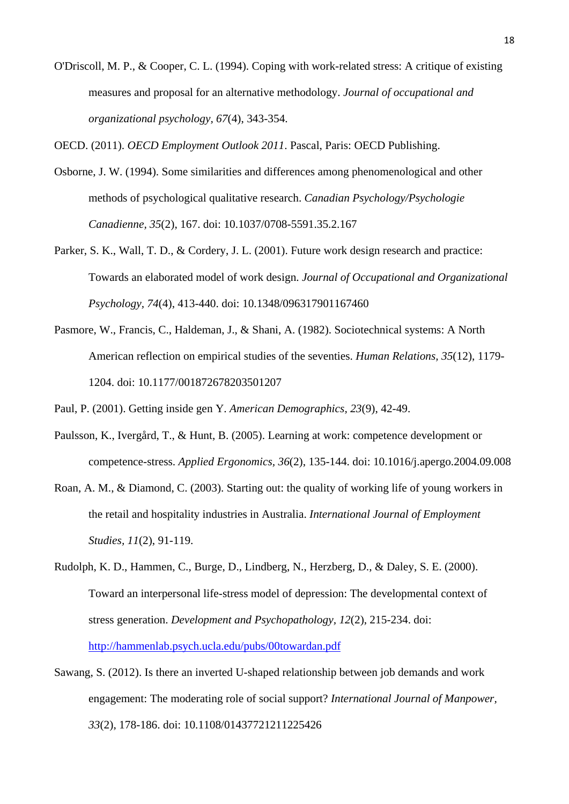<span id="page-18-9"></span>O'Driscoll, M. P., & Cooper, C. L. (1994). Coping with work-related stress: A critique of existing measures and proposal for an alternative methodology. *Journal of occupational and organizational psychology, 67*(4), 343-354.

<span id="page-18-3"></span>OECD. (2011). *OECD Employment Outlook 2011*. Pascal, Paris: OECD Publishing.

- <span id="page-18-6"></span>Osborne, J. W. (1994). Some similarities and differences among phenomenological and other methods of psychological qualitative research. *Canadian Psychology/Psychologie Canadienne, 35*(2), 167. doi: 10.1037/0708-5591.35.2.167
- <span id="page-18-8"></span>Parker, S. K., Wall, T. D., & Cordery, J. L. (2001). Future work design research and practice: Towards an elaborated model of work design. *Journal of Occupational and Organizational Psychology, 74*(4), 413-440. doi: 10.1348/096317901167460
- <span id="page-18-7"></span>Pasmore, W., Francis, C., Haldeman, J., & Shani, A. (1982). Sociotechnical systems: A North American reflection on empirical studies of the seventies. *Human Relations, 35*(12), 1179- 1204. doi: 10.1177/001872678203501207

<span id="page-18-1"></span>Paul, P. (2001). Getting inside gen Y. *American Demographics, 23*(9), 42-49.

- <span id="page-18-2"></span>Paulsson, K., Ivergård, T., & Hunt, B. (2005). Learning at work: competence development or competence-stress. *Applied Ergonomics, 36*(2), 135-144. doi: 10.1016/j.apergo.2004.09.008
- <span id="page-18-0"></span>Roan, A. M., & Diamond, C. (2003). Starting out: the quality of working life of young workers in the retail and hospitality industries in Australia. *International Journal of Employment Studies, 11*(2), 91-119.
- <span id="page-18-5"></span>Rudolph, K. D., Hammen, C., Burge, D., Lindberg, N., Herzberg, D., & Daley, S. E. (2000). Toward an interpersonal life-stress model of depression: The developmental context of stress generation. *Development and Psychopathology, 12*(2), 215-234. doi: <http://hammenlab.psych.ucla.edu/pubs/00towardan.pdf>
- <span id="page-18-4"></span>Sawang, S. (2012). Is there an inverted U-shaped relationship between job demands and work engagement: The moderating role of social support? *International Journal of Manpower, 33*(2), 178-186. doi: 10.1108/01437721211225426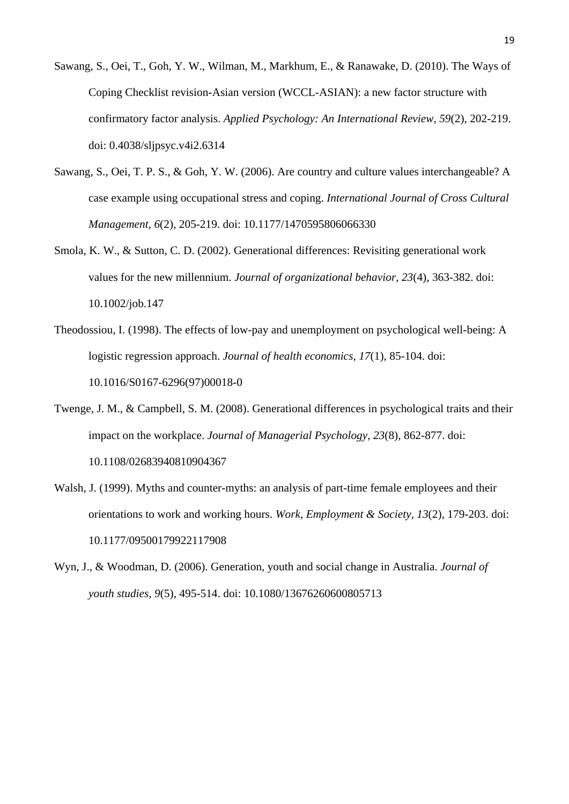- <span id="page-19-0"></span>Sawang, S., Oei, T., Goh, Y. W., Wilman, M., Markhum, E., & Ranawake, D. (2010). The Ways of Coping Checklist revision-Asian version (WCCL-ASIAN): a new factor structure with confirmatory factor analysis. *Applied Psychology: An International Review, 59*(2), 202-219. doi: 0.4038/sljpsyc.v4i2.6314
- <span id="page-19-1"></span>Sawang, S., Oei, T. P. S., & Goh, Y. W. (2006). Are country and culture values interchangeable? A case example using occupational stress and coping. *International Journal of Cross Cultural Management, 6*(2), 205-219. doi: 10.1177/1470595806066330
- <span id="page-19-5"></span>Smola, K. W., & Sutton, C. D. (2002). Generational differences: Revisiting generational work values for the new millennium. *Journal of organizational behavior, 23*(4), 363-382. doi: 10.1002/job.147
- <span id="page-19-2"></span>Theodossiou, I. (1998). The effects of low-pay and unemployment on psychological well-being: A logistic regression approach. *Journal of health economics, 17*(1), 85-104. doi: 10.1016/S0167-6296(97)00018-0
- <span id="page-19-3"></span>Twenge, J. M., & Campbell, S. M. (2008). Generational differences in psychological traits and their impact on the workplace. *Journal of Managerial Psychology, 23*(8), 862-877. doi: 10.1108/02683940810904367
- <span id="page-19-4"></span>Walsh, J. (1999). Myths and counter-myths: an analysis of part-time female employees and their orientations to work and working hours. *Work, Employment & Society, 13*(2), 179-203. doi: 10.1177/09500179922117908
- <span id="page-19-6"></span>Wyn, J., & Woodman, D. (2006). Generation, youth and social change in Australia. *Journal of youth studies, 9*(5), 495-514. doi: 10.1080/13676260600805713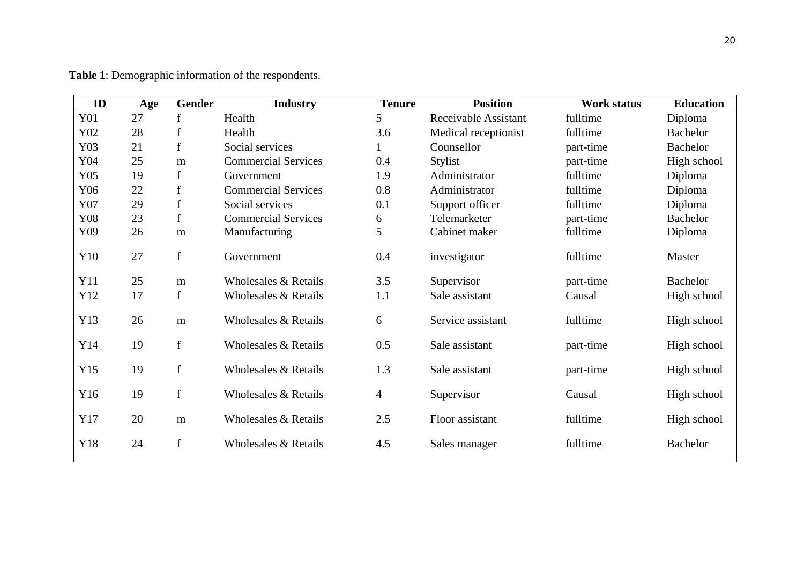| ID  | Age | Gender      | <b>Industry</b>            | <b>Tenure</b>  | <b>Position</b>      | Work status | <b>Education</b> |
|-----|-----|-------------|----------------------------|----------------|----------------------|-------------|------------------|
| Y01 | 27  | $\mathbf f$ | Health                     | 5              | Receivable Assistant | fulltime    | Diploma          |
| Y02 | 28  | $\mathbf f$ | Health                     | 3.6            | Medical receptionist | fulltime    | <b>Bachelor</b>  |
| Y03 | 21  | f           | Social services            |                | Counsellor           | part-time   | <b>Bachelor</b>  |
| Y04 | 25  | m           | <b>Commercial Services</b> | 0.4            | Stylist              | part-time   | High school      |
| Y05 | 19  | f           | Government                 | 1.9            | Administrator        | fulltime    | Diploma          |
| Y06 | 22  | $\mathbf f$ | <b>Commercial Services</b> | 0.8            | Administrator        | fulltime    | Diploma          |
| Y07 | 29  | $\mathbf f$ | Social services            | 0.1            | Support officer      | fulltime    | Diploma          |
| Y08 | 23  | f           | <b>Commercial Services</b> | 6              | Telemarketer         | part-time   | <b>Bachelor</b>  |
| Y09 | 26  | m           | Manufacturing              | 5              | Cabinet maker        | fulltime    | Diploma          |
| Y10 | 27  | $\mathbf f$ | Government                 | 0.4            | investigator         | fulltime    | Master           |
| Y11 | 25  | m           | Wholesales & Retails       | 3.5            | Supervisor           | part-time   | <b>Bachelor</b>  |
| Y12 | 17  | f           | Wholesales & Retails       | 1.1            | Sale assistant       | Causal      | High school      |
| Y13 | 26  | m           | Wholesales & Retails       | 6              | Service assistant    | fulltime    | High school      |
| Y14 | 19  | f           | Wholesales & Retails       | 0.5            | Sale assistant       | part-time   | High school      |
| Y15 | 19  | $\mathbf f$ | Wholesales & Retails       | 1.3            | Sale assistant       | part-time   | High school      |
| Y16 | 19  | $\mathbf f$ | Wholesales & Retails       | $\overline{4}$ | Supervisor           | Causal      | High school      |
| Y17 | 20  | m           | Wholesales & Retails       | 2.5            | Floor assistant      | fulltime    | High school      |
| Y18 | 24  | f           | Wholesales & Retails       | 4.5            | Sales manager        | fulltime    | <b>Bachelor</b>  |

**Table 1**: Demographic information of the respondents.